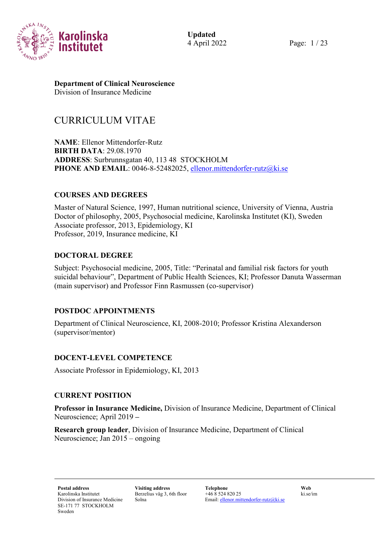

4 April 2022 Page: 1 / 23

# **Department of Clinical Neuroscience**

Division of Insurance Medicine

# CURRICULUM VITAE

**NAME**: Ellenor Mittendorfer-Rutz **BIRTH DATA**: 29.08.1970 **ADDRESS**: Surbrunnsgatan 40, 113 48 STOCKHOLM PHONE AND EMAIL: 0046-8-52482025, [ellenor.mittendorfer-rutz@ki.se](mailto:ellenor.mittendorfer-rutz@ki.se)

## **COURSES AND DEGREES**

Master of Natural Science, 1997, Human nutritional science, University of Vienna, Austria Doctor of philosophy, 2005, Psychosocial medicine, Karolinska Institutet (KI), Sweden Associate professor, 2013, Epidemiology, KI Professor, 2019, Insurance medicine, KI

## **DOCTORAL DEGREE**

Subject: Psychosocial medicine, 2005, Title: "Perinatal and familial risk factors for youth suicidal behaviour", Department of Public Health Sciences, KI; Professor Danuta Wasserman (main supervisor) and Professor Finn Rasmussen (co-supervisor)

# **POSTDOC APPOINTMENTS**

Department of Clinical Neuroscience, KI, 2008-2010; Professor Kristina Alexanderson (supervisor/mentor)

### **DOCENT-LEVEL COMPETENCE**

Associate Professor in Epidemiology, KI, 2013

### **CURRENT POSITION**

**Professor in Insurance Medicine,** Division of Insurance Medicine, Department of Clinical Neuroscience; April 2019 **–**

**Research group leader**, Division of Insurance Medicine, Department of Clinical Neuroscience; Jan 2015 – ongoing

Berzelius väg 3, 6th floor Solna

**Postal address Visiting address Telephone Web** +46 8 524 820 25 Email[: ellenor.mittendorfer-rutz@ki.se](mailto:ellenor.mittendorfer-rutz@ki.se)

ki.se/im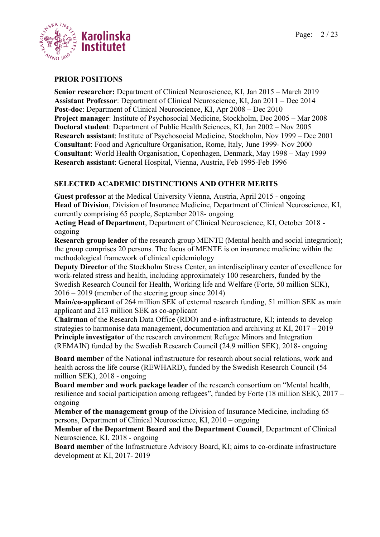

### **PRIOR POSITIONS**

**Senior researcher:** Department of Clinical Neuroscience, KI, Jan 2015 – March 2019 **Assistant Professor**: Department of Clinical Neuroscience, KI, Jan 2011 – Dec 2014 **Post-doc**: Department of Clinical Neuroscience, KI, Apr 2008 – Dec 2010 **Project manager**: Institute of Psychosocial Medicine, Stockholm, Dec 2005 – Mar 2008 **Doctoral student**: Department of Public Health Sciences, KI, Jan 2002 – Nov 2005 **Research assistant**: Institute of Psychosocial Medicine, Stockholm, Nov 1999 – Dec 2001 **Consultant**: Food and Agriculture Organisation, Rome, Italy, June 1999- Nov 2000 **Consultant**: World Health Organisation, Copenhagen, Denmark, May 1998 – May 1999 **Research assistant**: General Hospital, Vienna, Austria, Feb 1995-Feb 1996

### **SELECTED ACADEMIC DISTINCTIONS AND OTHER MERITS**

**Guest professor** at the Medical University Vienna, Austria, April 2015 - ongoing **Head of Division**, Division of Insurance Medicine, Department of Clinical Neuroscience, KI, currently comprising 65 people, September 2018- ongoing

**Acting Head of Department**, Department of Clinical Neuroscience, KI, October 2018 ongoing

**Research group leader** of the research group MENTE (Mental health and social integration); the group comprises 20 persons. The focus of MENTE is on insurance medicine within the methodological framework of clinical epidemiology

**Deputy Director** of the Stockholm Stress Center, an interdisciplinary center of excellence for work-related stress and health, including approximately 100 researchers, funded by the Swedish Research Council for Health, Working life and Welfare (Forte, 50 million SEK), 2016 – 2019 (member of the steering group since 2014)

**Main/co-applicant** of 264 million SEK of external research funding, 51 million SEK as main applicant and 213 million SEK as co-applicant

**Chairman** of the Research Data Office (RDO) and e-infrastructure, KI; intends to develop strategies to harmonise data management, documentation and archiving at KI, 2017 – 2019 **Principle investigator** of the research environment Refugee Minors and Integration (REMAIN) funded by the Swedish Research Council (24.9 million SEK), 2018- ongoing

**Board member** of the National infrastructure for research about social relations, work and health across the life course (REWHARD), funded by the Swedish Research Council (54 million SEK), 2018 - ongoing

**Board member and work package leader** of the research consortium on "Mental health, resilience and social participation among refugees", funded by Forte (18 million SEK), 2017 – ongoing

**Member of the management group** of the Division of Insurance Medicine, including 65 persons, Department of Clinical Neuroscience, KI, 2010 – ongoing

**Member of the Department Board and the Department Council**, Department of Clinical Neuroscience, KI, 2018 - ongoing

**Board member** of the Infrastructure Advisory Board, KI; aims to co-ordinate infrastructure development at KI, 2017- 2019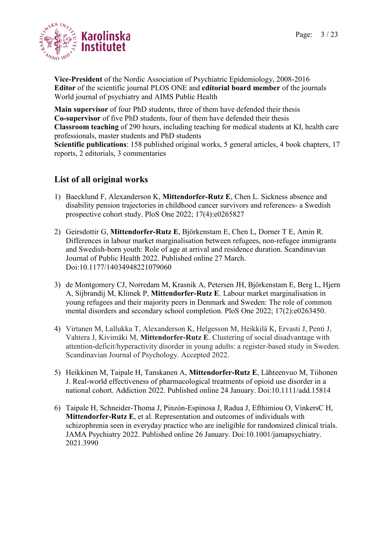

**Vice-President** of the Nordic Association of Psychiatric Epidemiology, 2008-2016 **Editor** of the scientific journal PLOS ONE and **editorial board member** of the journals World journal of psychiatry and AIMS Public Health

**Main supervisor** of four PhD students, three of them have defended their thesis **Co-supervisor** of five PhD students, four of them have defended their thesis **Classroom teaching** of 290 hours, including teaching for medical students at KI, health care professionals, master students and PhD students **Scientific publications**: 158 published original works, 5 general articles, 4 book chapters, 17 reports, 2 editorials, 3 commentaries

# **List of all original works**

- 1) Baecklund F, Alexanderson K, **Mittendorfer-Rutz E**, Chen L. Sickness absence and disability pension trajectories in childhood cancer survivors and references- a Swedish prospective cohort study. PloS One 2022; 17(4):e0265827
- 2) Geirsdottir G, **Mittendorfer-Rutz E**, Björkenstam E, Chen L, Dorner T E, Amin R. Differences in labour market marginalisation between refugees, non-refugee immigrants and Swedish-born youth: Role of age at arrival and residence duration. Scandinavian Journal of Public Health 2022. Published online 27 March. Doi:10.1177/14034948221079060
- 3) de Montgomery CJ, Norredam M, Krasnik A, Petersen JH, Björkenstam E, Berg L, Hjern A, Sijbrandij M, Klimek P, **Mittendorfer-Rutz E**. [Labour market marginalisation in](https://eur01.safelinks.protection.outlook.com/?url=https%3A%2F%2Fpubmed.ncbi.nlm.nih.gov%2F35171929%2F&data=04%7C01%7Cannika.evolahti%40ki.se%7Cee9d9aca5f074f09afe708d9f22d886c%7Cbff7eef1cf4b4f32be3da1dda043c05d%7C0%7C0%7C637807100031079197%7CUnknown%7CTWFpbGZsb3d8eyJWIjoiMC4wLjAwMDAiLCJQIjoiV2luMzIiLCJBTiI6Ik1haWwiLCJXVCI6Mn0%3D%7C2000&sdata=5gmzBPIiLrqG3LAlHe7fQ8fQAqSLXbUf71N%2FkIsoIV8%3D&reserved=0)  [young refugees and their majority peers in Denmark and Sweden: The role of common](https://eur01.safelinks.protection.outlook.com/?url=https%3A%2F%2Fpubmed.ncbi.nlm.nih.gov%2F35171929%2F&data=04%7C01%7Cannika.evolahti%40ki.se%7Cee9d9aca5f074f09afe708d9f22d886c%7Cbff7eef1cf4b4f32be3da1dda043c05d%7C0%7C0%7C637807100031079197%7CUnknown%7CTWFpbGZsb3d8eyJWIjoiMC4wLjAwMDAiLCJQIjoiV2luMzIiLCJBTiI6Ik1haWwiLCJXVCI6Mn0%3D%7C2000&sdata=5gmzBPIiLrqG3LAlHe7fQ8fQAqSLXbUf71N%2FkIsoIV8%3D&reserved=0)  [mental disorders and secondary school completion.](https://eur01.safelinks.protection.outlook.com/?url=https%3A%2F%2Fpubmed.ncbi.nlm.nih.gov%2F35171929%2F&data=04%7C01%7Cannika.evolahti%40ki.se%7Cee9d9aca5f074f09afe708d9f22d886c%7Cbff7eef1cf4b4f32be3da1dda043c05d%7C0%7C0%7C637807100031079197%7CUnknown%7CTWFpbGZsb3d8eyJWIjoiMC4wLjAwMDAiLCJQIjoiV2luMzIiLCJBTiI6Ik1haWwiLCJXVCI6Mn0%3D%7C2000&sdata=5gmzBPIiLrqG3LAlHe7fQ8fQAqSLXbUf71N%2FkIsoIV8%3D&reserved=0) PloS One 2022; 17(2):e0263450.
- 4) Virtanen M, Lallukka T, Alexanderson K, Helgesson M, Heikkilä K, Ervasti J, Penti J, Vahtera J, Kivimäki M, **Mittendorfer-Rutz E**. Clustering of social disadvantage with attention-deficit/hyperactivity disorder in young adults: a register-based study in Sweden. Scandinavian Journal of Psychology. Accepted 2022.
- 5) Heikkinen M, Taipale H, Tanskanen A, **Mittendorfer-Rutz E**, Lähteenvuo M, Tiihonen J. Real-world effectiveness of pharmacological treatments of opioid use disorder in a national cohort. Addiction 2022. Published online 24 January. Doi:10.1111/add.15814
- 6) Taipale H, Schneider-Thoma J, Pinzón-Espinosa J, Radua J, Efthimiou O, VinkersC H, **Mittendorfer-Rutz E**, et al. Representation and outcomes of individuals with schizophrenia seen in everyday practice who are ineligible for randomized clinical trials. JAMA Psychiatry 2022. Published online 26 January. Doi:10.1001/jamapsychiatry. 2021.3990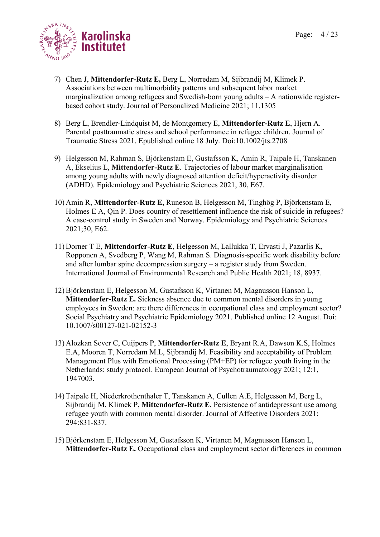

- 7) Chen J, **Mittendorfer-Rutz E,** Berg L, Norredam M, Sijbrandij M, Klimek P. Associations between multimorbidity patterns and subsequent labor market marginalization among refugees and Swedish-born young adults – A nationwide registerbased cohort study. Journal of Personalized Medicine 2021; 11,1305
- 8) Berg L, Brendler-Lindquist M, de Montgomery E, **Mittendorfer-Rutz E**, Hjern A. Parental posttraumatic stress and school performance in refugee children. Journal of Traumatic Stress 2021. Epublished online 18 July. Doi:10.1002/jts.2708
- 9) Helgesson M, Rahman S, Björkenstam E, Gustafsson K, Amin R, Taipale H, Tanskanen A, Ekselius L, **Mittendorfer-Rutz E**. Trajectories of labour market marginalisation among young adults with newly diagnosed attention deficit/hyperactivity disorder (ADHD). Epidemiology and Psychiatric Sciences 2021, 30, E67.
- 10) Amin R, **Mittendorfer-Rutz E,** Runeson B, Helgesson M, Tinghög P, Björkenstam E, Holmes E A, Qin P. Does country of resettlement influence the risk of suicide in refugees? A case-control study in Sweden and Norway. Epidemiology and Psychiatric Sciences 2021;30, E62.
- 11) Dorner T E, **Mittendorfer-Rutz E**, Helgesson M, Lallukka T, Ervasti J, Pazarlis K, Ropponen A, Svedberg P, Wang M, Rahman S. Diagnosis-specific work disability before and after lumbar spine decompression surgery – a register study from Sweden. International Journal of Environmental Research and Public Health 2021; 18, 8937.
- 12)Björkenstam E, Helgesson M, Gustafsson K, Virtanen M, Magnusson Hanson L, **Mittendorfer-Rutz E.** Sickness absence due to common mental disorders in young employees in Sweden: are there differences in occupational class and employment sector? Social Psychiatry and Psychiatric Epidemiology 2021. Published online 12 August. Doi: 10.1007/s00127-021-02152-3
- 13) Alozkan Sever C, Cuijpers P, **Mittendorfer-Rutz E**, Bryant R.A, Dawson K.S, Holmes E.A, Mooren T, Norredam M.L, Sijbrandij M. Feasibility and acceptability of Problem Management Plus with Emotional Processing (PM+EP) for refugee youth living in the Netherlands: study protocol. European Journal of Psychotraumatology 2021; 12:1, 1947003.
- 14) Taipale H, Niederkrothenthaler T, Tanskanen A, Cullen A.E, Helgesson M, Berg L, Sijbrandij M, Klimek P, **Mittendorfer-Rutz E.** Persistence of antidepressant use among refugee youth with common mental disorder. Journal of Affective Disorders 2021; 294:831-837.
- 15)Björkenstam E, Helgesson M, Gustafsson K, Virtanen M, Magnusson Hanson L, **Mittendorfer-Rutz E.** Occupational class and employment sector differences in common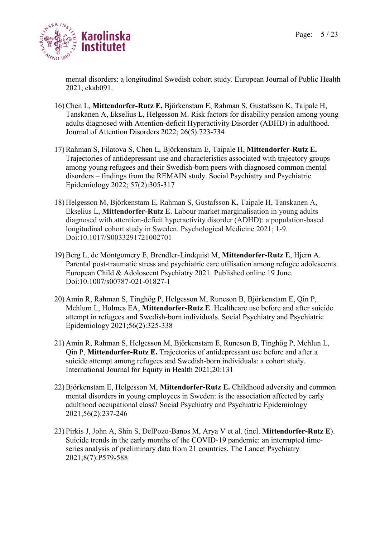

mental disorders: a longitudinal Swedish cohort study. European Journal of Public Health 2021; ckab091.

- 16)Chen L, **Mittendorfer-Rutz E,** Björkenstam E, Rahman S, Gustafsson K, Taipale H, Tanskanen A, Ekselius L, Helgesson M. Risk factors for disability pension among young adults diagnosed with Attention-deficit Hyperactivity Disorder (ADHD) in adulthood. Journal of Attention Disorders 2022; 26(5):723-734
- 17)Rahman S, Filatova S, Chen L, Björkenstam E, Taipale H, **Mittendorfer-Rutz E.** Trajectories of antidepressant use and characteristics associated with trajectory groups among young refugees and their Swedish-born peers with diagnosed common mental disorders – findings from the REMAIN study. Social Psychiatry and Psychiatric Epidemiology 2022; 57(2):305-317
- 18) Helgesson M, Björkenstam E, Rahman S, Gustafsson K, Taipale H, Tanskanen A, Ekselius L, **Mittendorfer-Rutz E**. Labour market marginalisation in young adults diagnosed with attention-deficit hyperactivity disorder (ADHD): a population-based longitudinal cohort study in Sweden. Psychological Medicine 2021; 1-9. Doi:10.1017/S0033291721002701
- 19)Berg L, de Montgomery E, Brendler-Lindquist M, **Mittendorfer-Rutz E**, Hjern A. Parental post-traumatic stress and psychiatric care utilisation among refugee adolescents. European Child & Adoloscent Psychiatry 2021. Published online 19 June. Doi:10.1007/s00787-021-01827-1
- 20) Amin R, Rahman S, Tinghög P, Helgesson M, Runeson B, Björkenstam E, Qin P, Mehlum L, Holmes EA, **Mittendorfer-Rutz E**. Healthcare use before and after suicide attempt in refugees and Swedish-born individuals. Social Psychiatry and Psychiatric Epidemiology 2021;56(2):325-338
- 21) Amin R, Rahman S, Helgesson M, Björkenstam E, Runeson B, Tinghög P, Mehlun L, Qin P, **Mittendorfer-Rutz E.** Trajectories of antidepressant use before and after a suicide attempt among refugees and Swedish-born individuals: a cohort study. International Journal for Equity in Health 2021;20:131
- 22)Björkenstam E, Helgesson M, **Mittendorfer-Rutz E.** Childhood adversity and common mental disorders in young employees in Sweden: is the association affected by early adulthood occupational class? Social Psychiatry and Psychiatric Epidemiology 2021;56(2):237-246
- 23) Pirkis J, John A, Shin S, DelPozo-Banos M, Arya V et al. (incl. **Mittendorfer-Rutz E**). Suicide trends in the early months of the COVID-19 pandemic: an interrupted timeseries analysis of preliminary data from 21 countries. The Lancet Psychiatry 2021;8(7):P579-588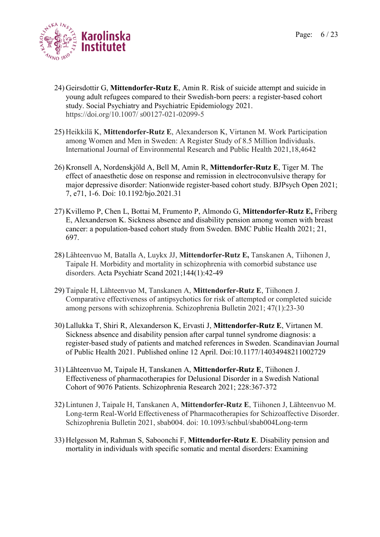

- 24) Geirsdottir G, **Mittendorfer-Rutz E**, Amin R. Risk of suicide attempt and suicide in young adult refugees compared to their Swedish-born peers: a register-based cohort study. Social Psychiatry and Psychiatric Epidemiology 2021. https://doi.org/10.1007/ s00127-021-02099-5
- 25) Heikkilä K, **Mittendorfer-Rutz E**, Alexanderson K, Virtanen M. Work Participation among Women and Men in Sweden: A Register Study of 8.5 Million Individuals. International Journal of Environmental Research and Public Health 2021,18,4642
- 26) Kronsell A, Nordenskjöld A, Bell M, Amin R, **Mittendorfer-Rutz E**, Tiger M. The effect of anaesthetic dose on response and remission in electroconvulsive therapy for major depressive disorder: Nationwide register-based cohort study. BJPsych Open 2021; 7, e71, 1-6. Doi: 10.1192/bjo.2021.31
- 27) Kvillemo P, Chen L, Bottai M, Frumento P, Almondo G, **Mittendorfer-Rutz E,** Friberg E, Alexanderson K. Sickness absence and disability pension among women with breast cancer: a population-based cohort study from Sweden. BMC Public Health 2021; 21, 697.
- 28) Lähteenvuo M, Batalla A, Luykx JJ, **Mittendorfer-Rutz E,** Tanskanen A, Tiihonen J, Taipale H. Morbidity and mortality in schizophrenia with comorbid substance use disorders. Acta Psychiatr Scand 2021;144(1):42-49
- 29) Taipale H, Lähteenvuo M, Tanskanen A, **Mittendorfer-Rutz E**, Tiihonen J. Comparative effectiveness of antipsychotics for risk of attempted or completed suicide among persons with schizophrenia. Schizophrenia Bulletin 2021; 47(1):23-30
- 30) Lallukka T, Shiri R, Alexanderson K, Ervasti J, **Mittendorfer-Rutz E**, Virtanen M. Sickness absence and disability pension after carpal tunnel syndrome diagnosis: a register-based study of patients and matched references in Sweden. Scandinavian Journal of Public Health 2021. Published online 12 April. Doi:10.1177/14034948211002729
- 31) Lähteenvuo M, Taipale H, Tanskanen A, **Mittendorfer-Rutz E**, Tiihonen J. Effectiveness of pharmacotherapies for Delusional Disorder in a Swedish National Cohort of 9076 Patients. Schizophrenia Research 2021; 228:367-372
- 32) Lintunen J, Taipale H, Tanskanen A, **Mittendorfer-Rutz E**, Tiihonen J, Lähteenvuo M. Long-term Real-World Effectiveness of Pharmacotherapies for Schizoaffective Disorder. Schizophrenia Bulletin 2021, sbab004. doi: 10.1093/schbul/sbab004Long-term
- 33) Helgesson M, Rahman S, Saboonchi F, **Mittendorfer-Rutz E**. Disability pension and mortality in individuals with specific somatic and mental disorders: Examining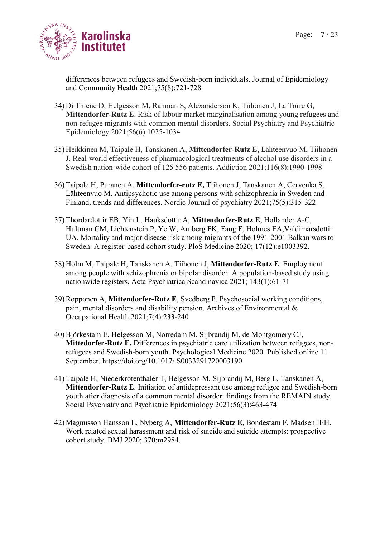

differences between refugees and Swedish-born individuals. Journal of Epidemiology and Community Health 2021;75(8):721-728

- 34) Di Thiene D, Helgesson M, Rahman S, Alexanderson K, Tiihonen J, La Torre G, **Mittendorfer-Rutz E**. Risk of labour market marginalisation among young refugees and non-refugee migrants with common mental disorders. Social Psychiatry and Psychiatric Epidemiology 2021;56(6):1025-1034
- 35) Heikkinen M, Taipale H, Tanskanen A, **Mittendorfer-Rutz E**, Lähteenvuo M, Tiihonen J. Real-world effectiveness of pharmacological treatments of alcohol use disorders in a Swedish nation-wide cohort of 125 556 patients. Addiction 2021;116(8):1990-1998
- 36) Taipale H, Puranen A, **Mittendorfer-rutz E,** Tiihonen J, Tanskanen A, Cervenka S, Lähteenvuo M. Antipsychotic use among persons with schizophrenia in Sweden and Finland, trends and differences. Nordic Journal of psychiatry 2021;75(5):315-322
- 37) Thordardottir EB, Yin L, Hauksdottir A, **Mittendorfer-Rutz E**, Hollander A-C, Hultman CM, Lichtenstein P, Ye W, Arnberg FK, Fang F, Holmes EA,Valdimarsdottir UA. Mortality and major disease risk among migrants of the 1991-2001 Balkan wars to Sweden: A register-based cohort study. PloS Medicine 2020; 17(12):e1003392.
- 38) Holm M, Taipale H, Tanskanen A, Tiihonen J, **Mittendorfer-Rutz E**. Employment among people with schizophrenia or bipolar disorder: A population-based study using nationwide registers. Acta Psychiatrica Scandinavica 2021; 143(1):61-71
- 39)Ropponen A, **Mittendorfer-Rutz E**, Svedberg P. Psychosocial working conditions, pain, mental disorders and disability pension. Archives of Environmental & Occupational Health 2021;7(4):233-240
- 40)Björkestam E, Helgesson M, Norredam M, Sijbrandij M, de Montgomery CJ, **Mittedorfer-Rutz E.** Differences in psychiatric care utilization between refugees, nonrefugees and Swedish-born youth. Psychological Medicine 2020. Published online 11 September. https://doi.org/10.1017/ S0033291720003190
- 41) Taipale H, Niederkrotenthaler T, Helgesson M, Sijbrandij M, Berg L, Tanskanen A, **Mittendorfer-Rutz E**. Initiation of antidepressant use among refugee and Swedish-born youth after diagnosis of a common mental disorder: findings from the REMAIN study. Social Psychiatry and Psychiatric Epidemiology 2021;56(3):463-474
- 42) Magnusson Hansson L, Nyberg A, **Mittendorfer-Rutz E**, Bondestam F, Madsen IEH. Work related sexual harassment and risk of suicide and suicide attempts: prospective cohort study. BMJ 2020; 370:m2984.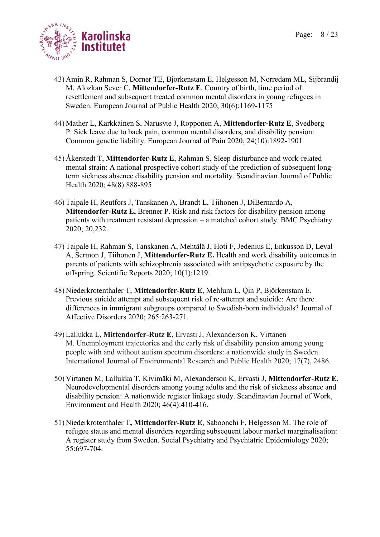

- 43) Amin R, Rahman S, Dorner TE, Björkenstam E, Helgesson M, Norredam ML, Sijbrandij M, Alozkan Sever C, **Mittendorfer-Rutz E**. Country of birth, time period of resettlement and subsequent treated common mental disorders in young refugees in Sweden. European Journal of Public Health 2020; 30(6):1169-1175
- 44) Mather L, Kärkkäinen S, Narusyte J, Ropponen A, **Mittendorfer-Rutz E**, Svedberg P. Sick leave due to back pain, common mental disorders, and disability pension: Common genetic liability. European Journal of Pain 2020; 24(10):1892-1901
- 45) Åkerstedt T, **Mittendorfer-Rutz E**, Rahman S. Sleep disturbance and work-related mental strain: A national prospective cohort study of the prediction of subsequent longterm sickness absence disability pension and mortality. Scandinavian Journal of Public Health 2020; 48(8):888-895
- 46) Taipale H, Reutfors J, Tanskanen A, Brandt L, Tiihonen J, DiBernardo A, **Mittendorfer-Rutz E,** Brenner P. Risk and risk factors for disability pension among patients with treatment resistant depression – a matched cohort study. BMC Psychiatry 2020; 20,232.
- 47) [Taipale H,](https://eur01.safelinks.protection.outlook.com/?url=https%3A%2F%2Fwww.ncbi.nlm.nih.gov%2Fpubmed%2F%3Fterm%3DTaipale%2520H%255BAuthor%255D%26cauthor%3Dtrue%26cauthor_uid%3D31988392&data=02%7C01%7Cannika.evolahti%40ki.se%7Cbd39e19a2240471ed72e08d7a4c918fd%7Cbff7eef1cf4b4f32be3da1dda043c05d%7C0%7C0%7C637159055930296350&sdata=nUbpT%2FQXBqC1C3kd2HvRZjQ9vNdiPEhU8u4AgHA4k%2BE%3D&reserved=0) [Rahman S,](https://eur01.safelinks.protection.outlook.com/?url=https%3A%2F%2Fwww.ncbi.nlm.nih.gov%2Fpubmed%2F%3Fterm%3DRahman%2520S%255BAuthor%255D%26cauthor%3Dtrue%26cauthor_uid%3D31988392&data=02%7C01%7Cannika.evolahti%40ki.se%7Cbd39e19a2240471ed72e08d7a4c918fd%7Cbff7eef1cf4b4f32be3da1dda043c05d%7C0%7C0%7C637159055930296350&sdata=I4K1a0XLB6h4OKv5zGbSsV%2BGoqBv2vjIBsOUbmZ19e4%3D&reserved=0) [Tanskanen A,](https://eur01.safelinks.protection.outlook.com/?url=https%3A%2F%2Fwww.ncbi.nlm.nih.gov%2Fpubmed%2F%3Fterm%3DTanskanen%2520A%255BAuthor%255D%26cauthor%3Dtrue%26cauthor_uid%3D31988392&data=02%7C01%7Cannika.evolahti%40ki.se%7Cbd39e19a2240471ed72e08d7a4c918fd%7Cbff7eef1cf4b4f32be3da1dda043c05d%7C0%7C0%7C637159055930296350&sdata=Iztpsi0izRfGoJPefIXJy7EIIUbGdNDBj1XkX%2BmtjqE%3D&reserved=0) [Mehtälä J,](https://eur01.safelinks.protection.outlook.com/?url=https%3A%2F%2Fwww.ncbi.nlm.nih.gov%2Fpubmed%2F%3Fterm%3DMeht%25C3%25A4l%25C3%25A4%2520J%255BAuthor%255D%26cauthor%3Dtrue%26cauthor_uid%3D31988392&data=02%7C01%7Cannika.evolahti%40ki.se%7Cbd39e19a2240471ed72e08d7a4c918fd%7Cbff7eef1cf4b4f32be3da1dda043c05d%7C0%7C0%7C637159055930306341&sdata=6RDRKgLPdEZd%2BB0RnVdKNGqK54EFS%2F5nPfBiW7tLQuU%3D&reserved=0) [Hoti F,](https://eur01.safelinks.protection.outlook.com/?url=https%3A%2F%2Fwww.ncbi.nlm.nih.gov%2Fpubmed%2F%3Fterm%3DHoti%2520F%255BAuthor%255D%26cauthor%3Dtrue%26cauthor_uid%3D31988392&data=02%7C01%7Cannika.evolahti%40ki.se%7Cbd39e19a2240471ed72e08d7a4c918fd%7Cbff7eef1cf4b4f32be3da1dda043c05d%7C0%7C0%7C637159055930306341&sdata=OwWCiy4SrKAA2%2Fn1XmIlK%2F9rr7gFlZ02NCH4la%2FxMdM%3D&reserved=0) [Jedenius E,](https://eur01.safelinks.protection.outlook.com/?url=https%3A%2F%2Fwww.ncbi.nlm.nih.gov%2Fpubmed%2F%3Fterm%3DJedenius%2520E%255BAuthor%255D%26cauthor%3Dtrue%26cauthor_uid%3D31988392&data=02%7C01%7Cannika.evolahti%40ki.se%7Cbd39e19a2240471ed72e08d7a4c918fd%7Cbff7eef1cf4b4f32be3da1dda043c05d%7C0%7C0%7C637159055930316335&sdata=voyEPFiZuyQhGQRXEpOZO9XTnV62O3SPiUrRcO2YzIM%3D&reserved=0) [Enkusson D,](https://eur01.safelinks.protection.outlook.com/?url=https%3A%2F%2Fwww.ncbi.nlm.nih.gov%2Fpubmed%2F%3Fterm%3DEnkusson%2520D%255BAuthor%255D%26cauthor%3Dtrue%26cauthor_uid%3D31988392&data=02%7C01%7Cannika.evolahti%40ki.se%7Cbd39e19a2240471ed72e08d7a4c918fd%7Cbff7eef1cf4b4f32be3da1dda043c05d%7C0%7C0%7C637159055930316335&sdata=r5Jmwf8vMiKSwBALIw2t%2FD6rSGzh2UQyiTb3CqKzILY%3D&reserved=0) [Leval](https://eur01.safelinks.protection.outlook.com/?url=https%3A%2F%2Fwww.ncbi.nlm.nih.gov%2Fpubmed%2F%3Fterm%3DLeval%2520A%255BAuthor%255D%26cauthor%3Dtrue%26cauthor_uid%3D31988392&data=02%7C01%7Cannika.evolahti%40ki.se%7Cbd39e19a2240471ed72e08d7a4c918fd%7Cbff7eef1cf4b4f32be3da1dda043c05d%7C0%7C0%7C637159055930326333&sdata=phmeV6y0DxOytFH3wVoF0Je27RkVELlk7SG%2FjGY73Kg%3D&reserved=0)  [A,](https://eur01.safelinks.protection.outlook.com/?url=https%3A%2F%2Fwww.ncbi.nlm.nih.gov%2Fpubmed%2F%3Fterm%3DLeval%2520A%255BAuthor%255D%26cauthor%3Dtrue%26cauthor_uid%3D31988392&data=02%7C01%7Cannika.evolahti%40ki.se%7Cbd39e19a2240471ed72e08d7a4c918fd%7Cbff7eef1cf4b4f32be3da1dda043c05d%7C0%7C0%7C637159055930326333&sdata=phmeV6y0DxOytFH3wVoF0Je27RkVELlk7SG%2FjGY73Kg%3D&reserved=0) [Sermon J,](https://eur01.safelinks.protection.outlook.com/?url=https%3A%2F%2Fwww.ncbi.nlm.nih.gov%2Fpubmed%2F%3Fterm%3DSermon%2520J%255BAuthor%255D%26cauthor%3Dtrue%26cauthor_uid%3D31988392&data=02%7C01%7Cannika.evolahti%40ki.se%7Cbd39e19a2240471ed72e08d7a4c918fd%7Cbff7eef1cf4b4f32be3da1dda043c05d%7C0%7C0%7C637159055930326333&sdata=CiFslasurAV5NVR8%2FJX1AqvQ6j5alelSa%2B1950KJON0%3D&reserved=0) [Tiihonen J,](https://eur01.safelinks.protection.outlook.com/?url=https%3A%2F%2Fwww.ncbi.nlm.nih.gov%2Fpubmed%2F%3Fterm%3DTiihonen%2520J%255BAuthor%255D%26cauthor%3Dtrue%26cauthor_uid%3D31988392&data=02%7C01%7Cannika.evolahti%40ki.se%7Cbd39e19a2240471ed72e08d7a4c918fd%7Cbff7eef1cf4b4f32be3da1dda043c05d%7C0%7C0%7C637159055930326333&sdata=aieu59nHH9b50t98YjYEwRfcnaTWKtq%2Fy1pirS3UYTg%3D&reserved=0) **[Mittendorfer-Rutz E.](https://eur01.safelinks.protection.outlook.com/?url=https%3A%2F%2Fwww.ncbi.nlm.nih.gov%2Fpubmed%2F%3Fterm%3DMittendorfer-Rutz%2520E%255BAuthor%255D%26cauthor%3Dtrue%26cauthor_uid%3D31988392&data=02%7C01%7Cannika.evolahti%40ki.se%7Cbd39e19a2240471ed72e08d7a4c918fd%7Cbff7eef1cf4b4f32be3da1dda043c05d%7C0%7C0%7C637159055930336324&sdata=bkFkylzpKWnLts1clRce8pehrdPEC69Y4Gz2G1B4n6c%3D&reserved=0)** Health and work disability outcomes in parents of patients with schizophrenia associated with antipsychotic exposure by the offspring. Scientific Reports 2020; 10(1):1219.
- 48) Niederkrotenthaler T, **Mittendorfer-Rutz E**, Mehlum L, Qin P, Björkenstam E. Previous suicide attempt and subsequent risk of re-attempt and suicide: Are there differences in immigrant subgroups compared to Swedish-born individuals? Journal of Affective Disorders 2020; 265:263-271.
- 49) Lallukka L, **Mittendorfer-Rutz E,** Ervasti J, Alexanderson K, Virtanen M. Unemployment trajectories and the early risk of disability pension among young people with and without autism spectrum disorders: a nationwide study in Sweden. International Journal of Environmental Research and Public Health 2020; 17(7), 2486.
- 50) Virtanen M, Lallukka T, Kivimäki M, Alexanderson K, Ervasti J, **Mittendorfer-Rutz E**. Neurodevelopmental disorders among young adults and the risk of sickness absence and disability pension: A nationwide register linkage study. Scandinavian Journal of Work, Environment and Health 2020; 46(4):410-416.
- 51) Niederkrotenthaler T**, Mittendorfer-Rutz E**, Saboonchi F, Helgesson M. The role of refugee status and mental disorders regarding subsequent labour market marginalisation: A register study from Sweden. Social Psychiatry and Psychiatric Epidemiology 2020; 55:697-704.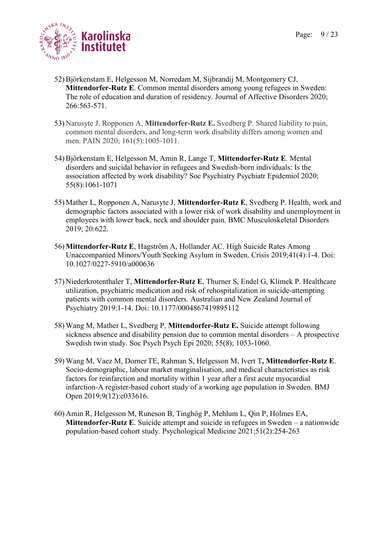

- 52)Björkenstam E, Helgesson M, Norredam M, Sijbrandij M, Montgomery CJ, **Mittendorfer-Rutz E**. Common mental disorders among young refugees in Sweden: The role of education and duration of residency. Journal of Affective Disorders 2020; 266:563-571.
- 53) Narusyte J, Ropponen A, **Mittendorfer-Rutz E.** Svedberg P. Shared liability to pain, common mental disorders, and long-term work disability differs among women and men. PAIN 2020; 161(5):1005-1011.
- 54)Björkenstam E, Helgesson M, Amin R, Lange T, **Mittendorfer-Rutz E**. Mental disorders and suicidal behavior in refugees and Swedish-born individuals: Is the association affected by work disability? Soc Psychiatry Psychiatr Epidemiol 2020; 55(8):1061-1071
- 55) Mather L, Ropponen A, Narusyte J, **Mittendorfer-Rutz E**, Svedberg P. Health, work and demographic factors associated with a lower risk of work disability and unemployment in employees with lower back, neck and shoulder pain. BMC Musculoskeletal Disorders 2019; 20:622.
- 56) **Mittendorfer-Rutz E**, Hagström A, Hollander AC. High Suicide Rates Among Unaccompanied Minors/Youth Seeking Asylum in Sweden. Crisis 2019;41(4):1-4. Doi: 10.1027/0227-5910/a000636
- 57) Niederkrotenthaler T, **Mittendorfer-Rutz E**, Thurner S, Endel G, Klimek P. Healthcare utilization, psychiatric medication and risk of rehospitalization in suicide-attempting patients with common mental disorders. Australian and New Zealand Journal of Psychiatry 2019:1-14. Doi: 10.1177/0004867419895112
- 58) Wang M, Mather L, Svedberg P, **Mittendorfer-Rutz E.** Suicide attempt following sickness absence and disability pension due to common mental disorders – A prospective Swedish twin study. Soc Psych Psych Epi 2020; 55(8); 1053-1060.
- 59) Wang M, Vaez M, Dorner TE, Rahman S, Helgesson M, Ivert T**, Mittendorfer-Rutz E**. Socio-demographic, labour market marginalisation, and medical characteristics as risk factors for reinfarction and mortality within 1 year after a first acute myocardial infarction-A register-based cohort study of a working age population in Sweden. BMJ Open 2019;9(12):e033616.
- 60) Amin R, Helgesson M, Runeson B, Tinghög P, Mehlum L, Qin P, Holmes EA, **Mittendorfer-Rutz E**. Suicide attempt and suicide in refugees in Sweden – a nationwide population-based cohort study*.* Psychological Medicine 2021;51(2):254-263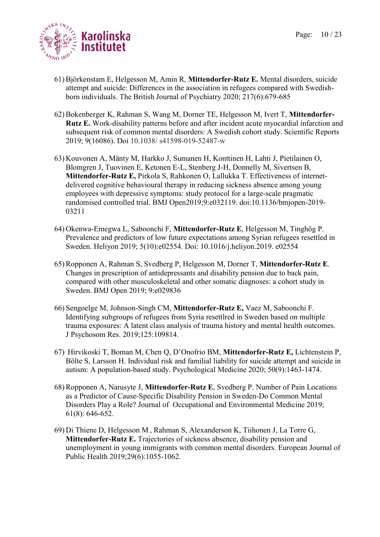

- 61)Björkenstam E, Helgesson M, Amin R, **Mittendorfer-Rutz E.** Mental disorders, suicide attempt and suicide: Differences in the association in refugees compared with Swedishborn individuals. The British Journal of Psychiatry 2020; 217(6):679-685
- 62)Bokenberger K, Rahman S, Wang M, Dorner TE, Helgesson M, Ivert T, **Mittendorfer-Rutz E.** Work-disability patterns before and after incident acute myocardial infarction and subsequent risk of common mental disorders: A Swedish cohort study. Scientific Reports 2019; 9(16086). Doi 10.1038/ s41598-019-52487-w
- 63) Kouvonen A, Mänty M, Harkko J, Sumanen H, Konttinen H, Lahti J, Pietilainen O, Blomgren J, Tuovinen E, Ketonen E-L, Stenberg J-H, Donnelly M, Sivertsen B, **Mittendorfer-Rutz E,** Pirkola S, Rahkonen O, Lallukka T. Effectiveness of internetdelivered cognitive behavioural therapy in reducing sickness absence among young employees with depressive symptoms: study protocol for a large-scale pragmatic randomised controlled trial. BMJ Open2019;9:e032119. doi:10.1136/bmjopen-2019- 03211
- 64) Okenwa-Emegwa L, Saboonchi F, **Mittendorfer-Rutz E**, Helgesson M, Tinghög P. Prevalence and predictors of low future expectations among Syrian refugees resettled in Sweden. Heliyon 2019; 5(10):e02554. Doi: 10.1016/j.heliyon.2019. e02554
- 65)Ropponen A, Rahman S, Svedberg P, Helgesson M, Dorner T, **Mittendorfer-Rutz E**. Changes in prescription of antidepressants and disability pension due to back pain, compared with other musculoskeletal and other somatic diagnoses: a cohort study in Sweden. BMJ Open 2019; 9:e029836
- 66) Sengoelge M, Johnson-Singh CM, **Mittendorfer-Rutz E,** Vaez M, Saboonchi F. Identifying subgroups of refugees from Syria resettlred in Sweden based on multiple trauma exposures: A latent class analysis of trauma history and mental health outcomes. J Psychosom Res. 2019;125:109814.
- 67) Hirvikoski T, Boman M, Chen Q, D'Onofrio BM, **Mittendorfer-Rutz E,** Lichtenstein P, Bölte S, Larsson H. Individual risk and familial liability for suicide attempt and suicide in autism: A population-based study. Psychological Medicine 2020; 50(9):1463-1474.
- 68)Ropponen A, Narusyte J, **Mittendorfer-Rutz E**, Svedberg P. Number of Pain Locations as a Predictor of Cause-Specific Disability Pension in Sweden-Do Common Mental Disorders Play a Role? Journal of Occupational and Environmental Medicine 2019; 61(8): 646-652.
- 69) Di Thiene D, Helgesson M , Rahman S, Alexanderson K, Tiihonen J, La Torre G, **Mittendorfer-Rutz E.** Trajectories of sickness absence, disability pension and unemployment in young immigrants with common mental disorders. European Journal of Public Health 2019;29(6):1055-1062.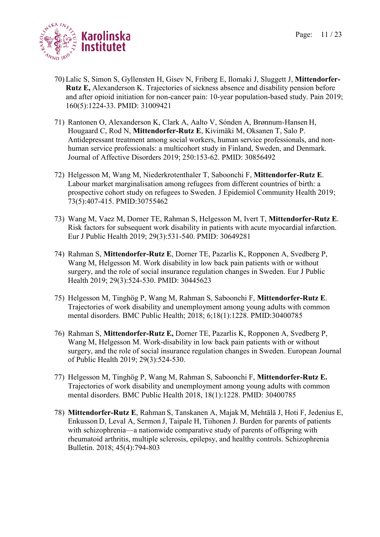

- 70) Lalic S, Simon S, Gyllensten H, Gisev N, Friberg E, Ilomaki J, Sluggett J, **Mittendorfer-Rutz E,** Alexanderson K. Trajectories of sickness absence and disability pension before and after opioid initiation for non-cancer pain: 10-year population-based study. Pain 2019; 160(5):1224-33. PMID: 31009421
- 71) Rantonen O, Alexanderson K, Clark A, Aalto V, Sónden A, Brønnum-Hansen H, Hougaard C, Rod N, **Mittendorfer-Rutz E**, Kivimäki M, Oksanen T, Salo P. Antidepressant treatment among social workers, human service professionals, and nonhuman service professionals: a multicohort study in Finland, Sweden, and Denmark. Journal of Affective Disorders 2019; 250:153-62. PMID: 30856492
- 72) Helgesson M, Wang M, Niederkrotenthaler T, Saboonchi F, **Mittendorfer-Rutz E**. Labour market marginalisation among refugees from different countries of birth: a prospective cohort study on refugees to Sweden. J Epidemiol Community Health 2019; 73(5):407-415. PMID:30755462
- 73) Wang M, Vaez M, Dorner TE, Rahman S, Helgesson M, Ivert T, **Mittendorfer-Rutz E**. Risk factors for subsequent work disability in patients with acute myocardial infarction. Eur J Public Health 2019; 29(3):531-540. PMID: 30649281
- 74) Rahman S, **Mittendorfer-Rutz E**, Dorner TE, Pazarlis K, Ropponen A, Svedberg P, Wang M, Helgesson M. Work disability in low back pain patients with or without surgery, and the role of social insurance regulation changes in Sweden. Eur J Public Health 2019; 29(3):524-530. PMID: 30445623
- 75) Helgesson M, Tinghög P, Wang M, Rahman S, Saboonchi F, **Mittendorfer-Rutz E**. Trajectories of work disability and unemployment among young adults with common mental disorders. BMC Public Health; 2018; 6;18(1):1228. PMID:30400785
- 76) Rahman S, **Mittendorfer-Rutz E,** Dorner TE, Pazarlis K, Ropponen A, Svedberg P, Wang M, Helgesson M. Work-disability in low back pain patients with or without surgery, and the role of social insurance regulation changes in Sweden. European Journal of Public Health 2019; 29(3):524-530.
- 77) Helgesson M, Tinghög P, Wang M, Rahman S, Saboonchi F, **Mittendorfer-Rutz E.** Trajectories of work disability and unemployment among young adults with common mental disorders. BMC Public Health 2018, 18(1):1228. PMID: 30400785
- 78) **Mittendorfer-Rutz E**, Rahman S, Tanskanen A, Majak M, Mehtälä J, Hoti F, Jedenius E, Enkusson D, Leval A, Sermon J, Taipale H, Tiihonen J. Burden for parents of patients with schizophrenia—a nationwide comparative study of parents of offspring with rheumatoid arthritis, multiple sclerosis, epilepsy, and healthy controls. Schizophrenia Bulletin. 2018; 45(4):794-803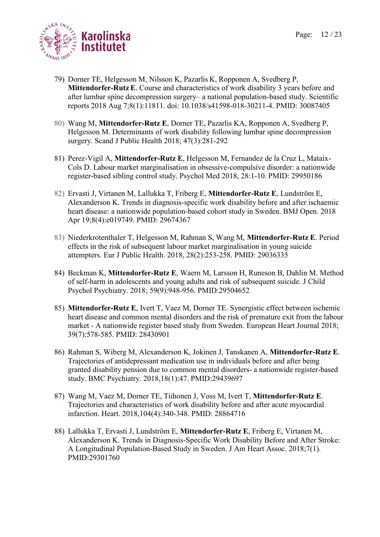

- 79) Dorner TE, Helgesson M, Nilsson K, Pazarlis K, Ropponen A, Svedberg P, **Mittendorfer-Rutz E**. Course and characteristics of work disability 3 years before and after lumbar spine decompression surgery– a national population-based study. Scientific reports 2018 Aug 7;8(1):11811. doi: 10.1038/s41598-018-30211-4. PMID: 30087405
- 80) Wang M, **Mittendorfer-Rutz E**, Dorner TE, Pazarlis KA, Ropponen A, Svedberg P, Helgesson M. Determinants of work disability following lumbar spine decompression surgery. Scand J Public Health 2018; 47(3):281-292
- 81) Perez-Vigil A, **Mittendorfer-Rutz E**, Helgesson M, Fernandez de la Cruz L, Mataix-Cols D. Labour market marginalisation in obsessive-compulsive disorder: a nationwide register-based sibling control study. Psychol Med 2018, 28:1-10. PMID: 29950186
- 82) Ervasti J, Virtanen M, Lallukka T, Friberg E, **Mittendorfer-Rutz E**, Lundström E, Alexanderson K. Trends in diagnosis-specific work disability before and after ischaemic heart disease: a nationwide population-based cohort study in Sweden. BMJ Open. 2018 Apr 19;8(4):e019749. PMID: 29674367
- 83) Niederkrotenthaler T, Helgesson M, Rahman S, Wang M, **Mittendorfer-Rutz E**. [Period](https://www.ncbi.nlm.nih.gov/pubmed/29036335)  [effects in the risk of subsequent labour market marginalisation in young suicide](https://www.ncbi.nlm.nih.gov/pubmed/29036335)  [attempters.](https://www.ncbi.nlm.nih.gov/pubmed/29036335) Eur J Public Health. 2018, 28(2):253-258. PMID: 29036335
- 84) Beckman K, **Mittendorfer-Rutz E**, Waern M, Larsson H, Runeson B, Dahlin M. [Method](https://www.ncbi.nlm.nih.gov/pubmed/29504652)  [of self-harm in adolescents and young adults and risk of subsequent suicide.](https://www.ncbi.nlm.nih.gov/pubmed/29504652) J Child Psychol Psychiatry. 2018; 59(9):948-956. PMID:29504652
- 85) **Mittendorfer-Rutz E**, Ivert T, Vaez M, Dorner TE. Synergistic effect between ischemic heart disease and common mental disorders and the risk of premature exit from the labour market - A nationwide register based study from Sweden. European Heart Journal 2018; 39(7):578-585. PMID: 28430901
- 86) Rahman S, Wiberg M, Alexanderson K, Jokinen J, Tanskanen A, **Mittendorfer-Rutz E**. [Trajectories of antidepressant medication use in individuals before and after being](https://www.ncbi.nlm.nih.gov/pubmed/29439697)  [granted disability pension due to common mental disorders-](https://www.ncbi.nlm.nih.gov/pubmed/29439697) a nationwide register-based [study.](https://www.ncbi.nlm.nih.gov/pubmed/29439697) BMC Psychiatry. 2018,18(1):47. PMID:29439697
- 87) Wang M, Vaez M, Dorner TE, Tiihonen J, Voss M, Ivert T, **Mittendorfer-Rutz E**. [Trajectories and characteristics of work disability before and after acute myocardial](https://www.ncbi.nlm.nih.gov/pubmed/28864716)  [infarction.](https://www.ncbi.nlm.nih.gov/pubmed/28864716) Heart. 2018,104(4):340-348. PMID: 28864716
- 88) Lallukka T, Ervasti J, Lundström E, **Mittendorfer-Rutz E**, Friberg E, Virtanen M, Alexanderson K. [Trends in Diagnosis-Specific Work Disability Before and After Stroke:](https://www.ncbi.nlm.nih.gov/pubmed/29301760)  [A Longitudinal Population-Based Study](https://www.ncbi.nlm.nih.gov/pubmed/29301760) in Sweden. J Am Heart Assoc. 2018;7(1). PMID:29301760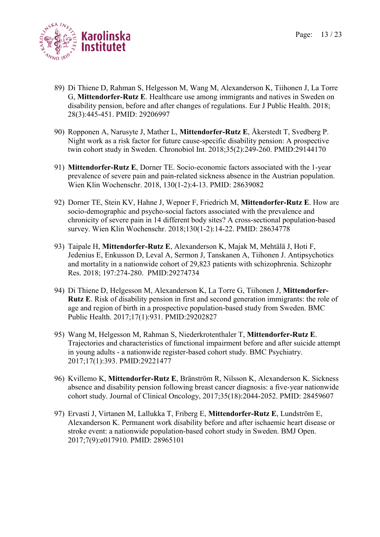

- 89) Di Thiene D, Rahman S, Helgesson M, Wang M, Alexanderson K, Tiihonen J, La Torre G, **Mittendorfer-Rutz E**. [Healthcare use among immigrants and natives in Sweden on](https://www.ncbi.nlm.nih.gov/pubmed/29206997)  [disability pension, before and after changes of regulations.](https://www.ncbi.nlm.nih.gov/pubmed/29206997) Eur J Public Health. 2018; 28(3):445-451. PMID: 29206997
- 90) Ropponen A, Narusyte J, Mather L, **Mittendorfer-Rutz E**, Åkerstedt T, Svedberg P. [Night work as a risk factor for future cause-specific disability pension: A prospective](https://www.ncbi.nlm.nih.gov/pubmed/29144170)  [twin cohort study in Sweden.](https://www.ncbi.nlm.nih.gov/pubmed/29144170) Chronobiol Int. 2018;35(2):249-260. PMID:29144170
- 91) **Mittendorfer-Rutz E**, Dorner TE. Socio-economic factors associated with the 1-year prevalence of severe pain and pain-related sickness absence in the Austrian population. Wien Klin Wochenschr. 2018, 130(1-2):4-13. PMID: 28639082
- 92) Dorner TE, Stein KV, Hahne J, Wepner F, Friedrich M, **Mittendorfer-Rutz E**. How are socio-demographic and psycho-social factors associated with the prevalence and chronicity of severe pain in 14 different body sites? A cross-sectional population-based survey. Wien Klin Wochenschr. 2018;130(1-2):14-22. PMID: 28634778
- 93) Taipale H, **Mittendorfer-Rutz E**, Alexanderson K, Majak M, Mehtälä J, Hoti F, Jedenius E, Enkusson D, Leval A, Sermon J, Tanskanen A, Tiihonen J. [Antipsychotics](https://www.ncbi.nlm.nih.gov/pubmed/29274734)  [and mortality in a nationwide cohort of 29,823 patients with schizophrenia.](https://www.ncbi.nlm.nih.gov/pubmed/29274734) Schizophr Res. 2018; 197:274-280. PMID:29274734
- 94) Di Thiene D, Helgesson M, Alexanderson K, La Torre G, Tiihonen J, **Mittendorfer-Rutz E**. Risk of disability pension in [first and second generation immigrants: the role of](https://www.ncbi.nlm.nih.gov/pubmed/29202827)  [age and region of birth in a prospective population-based study from Sweden.](https://www.ncbi.nlm.nih.gov/pubmed/29202827) BMC Public Health. 2017;17(1):931. PMID:29202827
- 95) Wang M, Helgesson M, Rahman S, Niederkrotenthaler T, **Mittendorfer-Rutz E**. [Trajectories and characteristics of functional impairment before and after suicide attempt](https://www.ncbi.nlm.nih.gov/pubmed/29221477)  in young adults - [a nationwide register-based cohort study.](https://www.ncbi.nlm.nih.gov/pubmed/29221477) BMC Psychiatry. 2017;17(1):393. PMID:29221477
- 96) Kvillemo K, **Mittendorfer-Rutz E**, Bränström R, Nilsson K, Alexanderson K. Sickness absence and disability pension following breast cancer diagnosis: a five-year nationwide cohort study. Journal of Clinical Oncology, 2017;35(18):2044-2052. PMID: 28459607
- 97) Ervasti J, Virtanen M, Lallukka T, Friberg E, **Mittendorfer-Rutz E**, Lundström E, Alexanderson K. [Permanent work disability before and after ischaemic heart disease or](https://www.ncbi.nlm.nih.gov/pubmed/28965101)  [stroke event: a nationwide population-based cohort study in Sweden.](https://www.ncbi.nlm.nih.gov/pubmed/28965101) BMJ Open. 2017;7(9):e017910. PMID: 28965101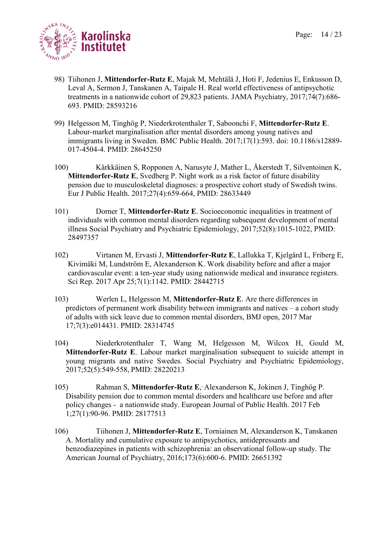

- 98) Tiihonen J, **Mittendorfer-Rutz E**, Majak M, Mehtälä J, Hoti F, Jedenius E, Enkusson D, Leval A, Sermon J, Tanskanen A, Taipale H. Real world effectiveness of antipsychotic treatments in a nationwide cohort of 29,823 patients. JAMA Psychiatry, 2017;74(7):686- 693. PMID: 28593216
- 99) Helgesson M, Tinghög P, Niederkrotenthaler T, Saboonchi F, **Mittendorfer-Rutz E**. Labour-market marginalisation after mental disorders among young natives and immigrants living in Sweden. BMC Public Health. 2017;17(1):593. doi: 10.1186/s12889- 017-4504-4. PMID: 28645250
- 100) Kärkkäinen S, Ropponen A, Narusyte J, Mather L, Åkerstedt T, Silventoinen K, **Mittendorfer-Rutz E**, Svedberg P. Night work as a risk factor of future disability pension due to musculoskeletal diagnoses: a prospective cohort study of Swedish twins. Eur J Public Health. 2017;27(4):659-664, PMID: 28633449
- 101) Dorner T, **Mittendorfer-Rutz E**. Socioeconomic inequalities in treatment of individuals with common mental disorders regarding subsequent development of mental illness Social Psychiatry and Psychiatric Epidemiology, 2017;52(8):1015-1022, PMID: 28497357
- 102) Virtanen M, Ervasti J, **Mittendorfer-Rutz E**, Lallukka T, Kjelgård L, Friberg E, Kivimäki M, Lundström E, Alexanderson K. Work disability before and after a major cardiovascular event: a ten-year study using nationwide medical and insurance registers. Sci Rep. 2017 Apr 25;7(1):1142. PMID: 28442715
- 103) Werlen L, Helgesson M, **Mittendorfer-Rutz E**. Are there differences in predictors of permanent work disability between immigrants and natives – a cohort study of adults with sick leave due to common mental disorders, BMJ open, 2017 Mar 17;7(3):e014431. PMID: 28314745
- 104) Niederkrotenthaler T, Wang M, Helgesson M, Wilcox H, Gould M, **Mittendorfer-Rutz E**. Labour market marginalisation subsequent to suicide attempt in young migrants and native Swedes. Social Psychiatry and Psychiatric Epidemiology, 2017;52(5):549-558, PMID: 28220213
- 105) Rahman S, Mittendorfer-Rutz E, Alexanderson K, Jokinen J, Tinghög P. Disability pension due to common mental disorders and healthcare use before and after policy changes - a nationwide study. European Journal of Public Health. 2017 Feb 1;27(1):90-96. PMID: 28177513
- 106) Tiihonen J, **Mittendorfer-Rutz E**, Torniainen M, Alexanderson K, Tanskanen A. Mortality and cumulative exposure to antipsychotics, antidepressants and benzodiazepines in patients with schizophrenia: an observational follow-up study. The American Journal of Psychiatry, 2016;173(6):600-6. PMID: 26651392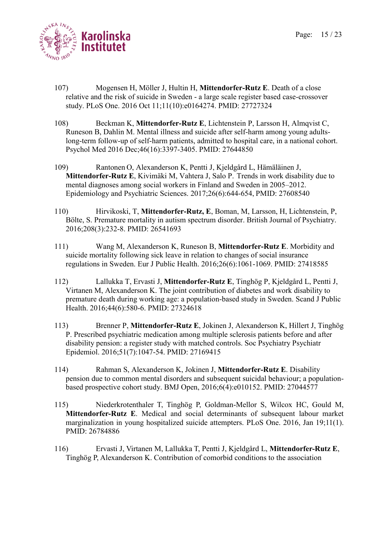

- 107) Mogensen H, Möller J, Hultin H, **Mittendorfer-Rutz E**. Death of a close relative and the risk of suicide in Sweden - a large scale register based case-crossover study. PLoS One. 2016 Oct 11;11(10):e0164274. PMID: 27727324
- 108) Beckman K, **Mittendorfer-Rutz E**, Lichtenstein P, Larsson H, Almqvist C, Runeson B, Dahlin M. Mental illness and suicide after self-harm among young adultslong-term follow-up of self-harm patients, admitted to hospital care, in a national cohort. Psychol Med 2016 Dec;46(16):3397-3405. PMID: 27644850
- 109) Rantonen O, Alexanderson K, Pentti J, Kjeldgård L, Hämäläinen J, **Mittendorfer-Rutz E**, Kivimäki M, Vahtera J, Salo P. Trends in work disability due to mental diagnoses among social workers in Finland and Sweden in 2005–2012. Epidemiology and Psychiatric Sciences. 2017;26(6):644-654, PMID: 27608540
- 110) Hirvikoski, T, **Mittendorfer-Rutz, E**, Boman, M, Larsson, H, Lichtenstein, P, Bölte, S. Premature mortality in autism spectrum disorder. British Journal of Psychiatry. 2016;208(3):232-8. PMID: 26541693
- 111) [Wang M,](http://www.ncbi.nlm.nih.gov/pubmed/?term=Wang%20M%5BAuthor%5D&cauthor=true&cauthor_uid=27418585) [Alexanderson K,](http://www.ncbi.nlm.nih.gov/pubmed/?term=Alexanderson%20K%5BAuthor%5D&cauthor=true&cauthor_uid=27418585) [Runeson B,](http://www.ncbi.nlm.nih.gov/pubmed/?term=Runeson%20B%5BAuthor%5D&cauthor=true&cauthor_uid=27418585) **[Mittendorfer-Rutz E](http://www.ncbi.nlm.nih.gov/pubmed/?term=Mittendorfer-Rutz%20E%5BAuthor%5D&cauthor=true&cauthor_uid=27418585)**. Morbidity and suicide mortality following sick leave in relation to changes of social insurance regulations in Sweden. [Eur J Public Health.](http://www.ncbi.nlm.nih.gov/pubmed/27418585) 2016;26(6):1061-1069. PMID: 27418585
- 112) [Lallukka T,](http://www.ncbi.nlm.nih.gov/pubmed/?term=Lallukka%20T%5BAuthor%5D&cauthor=true&cauthor_uid=27324618) [Ervasti J,](http://www.ncbi.nlm.nih.gov/pubmed/?term=Ervasti%20J%5BAuthor%5D&cauthor=true&cauthor_uid=27324618) **[Mittendorfer-Rutz E](http://www.ncbi.nlm.nih.gov/pubmed/?term=Mittendorfer-Rutz%20E%5BAuthor%5D&cauthor=true&cauthor_uid=27324618)**, [Tinghög P,](http://www.ncbi.nlm.nih.gov/pubmed/?term=Tingh%C3%B6g%20P%5BAuthor%5D&cauthor=true&cauthor_uid=27324618) [Kjeldgård L,](http://www.ncbi.nlm.nih.gov/pubmed/?term=Kjeldg%C3%A5rd%20L%5BAuthor%5D&cauthor=true&cauthor_uid=27324618) [Pentti J,](http://www.ncbi.nlm.nih.gov/pubmed/?term=Pentti%20J%5BAuthor%5D&cauthor=true&cauthor_uid=27324618) [Virtanen M,](http://www.ncbi.nlm.nih.gov/pubmed/?term=Virtanen%20M%5BAuthor%5D&cauthor=true&cauthor_uid=27324618) [Alexanderson K.](http://www.ncbi.nlm.nih.gov/pubmed/?term=Alexanderson%20K%5BAuthor%5D&cauthor=true&cauthor_uid=27324618) The joint contribution of diabetes and work disability to premature death during working age: a population-based study in Sweden. [Scand J Public](http://www.ncbi.nlm.nih.gov/pubmed/27324618)  [Health.](http://www.ncbi.nlm.nih.gov/pubmed/27324618) 2016;44(6):580-6. PMID: 27324618
- 113) [Brenner P,](http://www.ncbi.nlm.nih.gov/pubmed/?term=Brenner%20P%5BAuthor%5D&cauthor=true&cauthor_uid=27169415) **[Mittendorfer-Rutz E](http://www.ncbi.nlm.nih.gov/pubmed/?term=Mittendorfer-Rutz%20E%5BAuthor%5D&cauthor=true&cauthor_uid=27169415)**, [Jokinen J,](http://www.ncbi.nlm.nih.gov/pubmed/?term=Jokinen%20J%5BAuthor%5D&cauthor=true&cauthor_uid=27169415) [Alexanderson K,](http://www.ncbi.nlm.nih.gov/pubmed/?term=Alexanderson%20K%5BAuthor%5D&cauthor=true&cauthor_uid=27169415) [Hillert J,](http://www.ncbi.nlm.nih.gov/pubmed/?term=Hillert%20J%5BAuthor%5D&cauthor=true&cauthor_uid=27169415) [Tinghög](http://www.ncbi.nlm.nih.gov/pubmed/?term=Tingh%C3%B6g%20P%5BAuthor%5D&cauthor=true&cauthor_uid=27169415)  [P.](http://www.ncbi.nlm.nih.gov/pubmed/?term=Tingh%C3%B6g%20P%5BAuthor%5D&cauthor=true&cauthor_uid=27169415) Prescribed psychiatric medication among multiple sclerosis patients before and after disability pension: a register study with matched controls. [Soc Psychiatry Psychiatr](http://www.ncbi.nlm.nih.gov/pubmed/27169415)  [Epidemiol.](http://www.ncbi.nlm.nih.gov/pubmed/27169415) 2016;51(7):1047-54. PMID: 27169415
- 114) Rahman S, Alexanderson K, Jokinen J, **Mittendorfer-Rutz E**. Disability pension due to common mental disorders and subsequent suicidal behaviour; a populationbased prospective cohort study. BMJ Open, 2016;6(4):e010152. PMID: 27044577
- 115) Niederkrotenthaler T, Tinghög P, Goldman-Mellor S, Wilcox HC, Gould M, **Mittendorfer-Rutz E**. Medical and social determinants of subsequent labour market marginalization in young hospitalized suicide attempters. [PLoS One.](http://www.ncbi.nlm.nih.gov/pubmed/25365217) 2016, Jan 19;11(1). PMID: 26784886
- 116) Ervasti J, Virtanen M, Lallukka T, Pentti J, Kjeldgård L, **Mittendorfer-Rutz E**, Tinghög P, Alexanderson K. Contribution of comorbid conditions to the association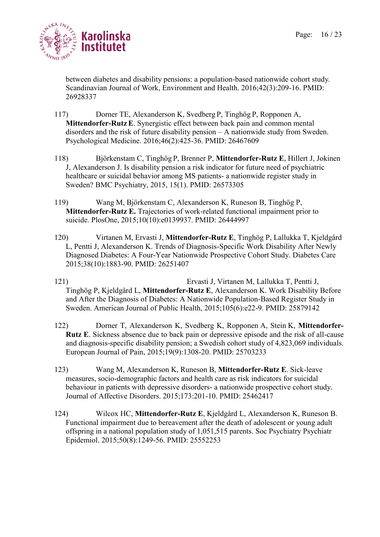

between diabetes and disability pensions: a population-based nationwide cohort study. Scandinavian Journal of Work, Environment and Health. 2016;42(3):209-16. PMID: 26928337

- 117) Dorner TE, Alexanderson K, Svedberg P, Tinghög P, Ropponen A, **Mittendorfer-Rutz E**. Synergistic effect between back pain and common mental disorders and the risk of future disability pension – A nationwide study from Sweden. Psychological Medicine. 2016;46(2):425-36. PMID: 26467609
- 118) Björkenstam C, Tinghög P, Brenner P, **Mittendorfer-Rutz E**, Hillert J, Jokinen J, Alexanderson J. Is disability pension a risk indicator for future need of psychiatric healthcare or suicidal behavior among MS patients- a nationwide register study in Sweden? BMC Psychiatry, 2015, 15(1). PMID: 26573305
- 119) Wang M, Björkenstam C, Alexanderson K, Runeson B, Tinghög P, **Mittendorfer-Rutz E.** Trajectories of work-related functional impairment prior to suicide. PlosOne, 2015;10(10):e0139937. PMID: 26444997
- 120) Virtanen M, Ervasti J, **Mittendorfer-Rutz E**, Tinghög P, Lallukka T, Kjeldgård L, Pentti J, Alexanderson K. Trends of Diagnosis-Specific Work Disability After Newly Diagnosed Diabetes: A Four-Year Nationwide Prospective Cohort Study. Diabetes Care 2015;38(10):1883-90. PMID: 26251407
- 121) Ervasti J, Virtanen M, Lallukka T, Pentti J, Tinghög P, Kjeldgård L, **Mittendorfer-Rutz E**, Alexanderson K. Work Disability Before and After the Diagnosis of Diabetes: A Nationwide Population-Based Register Study in Sweden. American Journal of Public Health, 2015;105(6):e22-9. PMID: 25879142
- 122) Dorner T, Alexanderson K, Svedberg K, Ropponen A, Stein K, **Mittendorfer-Rutz E**. Sickness absence due to back pain or depressive episode and the risk of all-cause and diagnosis-specific disability pension; a Swedish cohort study of 4,823,069 individuals. European Journal of Pain, 2015;19(9):1308-20. PMID: 25703233
- 123) Wang M, Alexanderson K, Runeson B, **Mittendorfer-Rutz E**. Sick-leave measures, socio-demographic factors and health care as risk indicators for suicidal behaviour in patients with depressive disorders- a nationwide prospective cohort study. Journal of Affective Disorders. 2015;173:201-10. PMID: 25462417
- 124) [Wilcox HC,](http://www.ncbi.nlm.nih.gov/pubmed/?term=Wilcox%20HC%5BAuthor%5D&cauthor=true&cauthor_uid=25552253) **[Mittendorfer-Rutz E](http://www.ncbi.nlm.nih.gov/pubmed/?term=Mittendorfer-Rutz%20E%5BAuthor%5D&cauthor=true&cauthor_uid=25552253)**, [Kjeldgård L,](http://www.ncbi.nlm.nih.gov/pubmed/?term=Kjeldg%C3%A5rd%20L%5BAuthor%5D&cauthor=true&cauthor_uid=25552253) [Alexanderson K,](http://www.ncbi.nlm.nih.gov/pubmed/?term=Alexanderson%20K%5BAuthor%5D&cauthor=true&cauthor_uid=25552253) [Runeson](http://www.ncbi.nlm.nih.gov/pubmed/?term=Runeson%20B%5BAuthor%5D&cauthor=true&cauthor_uid=25552253) B. Functional impairment due to bereavement after the death of adolescent or young adult offspring in a national population study of 1,051,515 parents. [Soc Psychiatry Psychiatr](http://www.ncbi.nlm.nih.gov/pubmed/25552253)  [Epidemiol.](http://www.ncbi.nlm.nih.gov/pubmed/25552253) 2015;50(8):1249-56. PMID: 25552253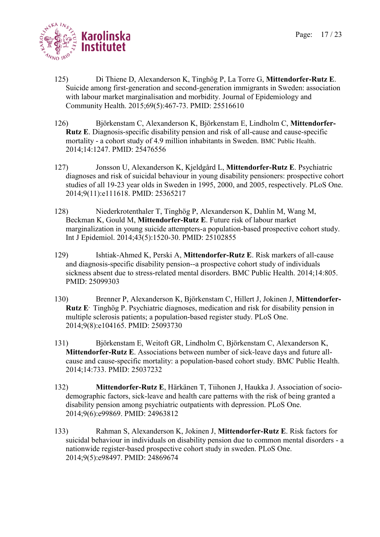

- 125) [Di Thiene D,](http://www.ncbi.nlm.nih.gov/pubmed/?term=Di%20Thiene%20D%5BAuthor%5D&cauthor=true&cauthor_uid=25516610) [Alexanderson K,](http://www.ncbi.nlm.nih.gov/pubmed/?term=Alexanderson%20K%5BAuthor%5D&cauthor=true&cauthor_uid=25516610) [Tinghög P,](http://www.ncbi.nlm.nih.gov/pubmed/?term=Tingh%C3%B6g%20P%5BAuthor%5D&cauthor=true&cauthor_uid=25516610) [La Torre G,](http://www.ncbi.nlm.nih.gov/pubmed/?term=La%20Torre%20G%5BAuthor%5D&cauthor=true&cauthor_uid=25516610) **[Mittendorfer-Rutz E](http://www.ncbi.nlm.nih.gov/pubmed/?term=Mittendorfer-Rutz%20E%5BAuthor%5D&cauthor=true&cauthor_uid=25516610)**. Suicide among first-generation and second-generation immigrants in Sweden: association with labour market marginalisation and morbidity. Journal of Epidemiology and Community Health. 2015;69(5):467-73. PMID: 25516610
- 126) Björkenstam C, Alexanderson K, Björkenstam E, Lindholm C, **Mittendorfer-Rutz E**. Diagnosis-specific disability pension and risk of all-cause and cause-specific mortality - a cohort study of 4.9 million inhabitants in Sweden. BMC Public Health. 2014;14:1247. PMID: 25476556
- 127) [Jonsson U,](http://www.ncbi.nlm.nih.gov/pubmed?term=Jonsson%20U%5BAuthor%5D&cauthor=true&cauthor_uid=25365217) [Alexanderson K,](http://www.ncbi.nlm.nih.gov/pubmed?term=Alexanderson%20K%5BAuthor%5D&cauthor=true&cauthor_uid=25365217) [Kjeldgård L,](http://www.ncbi.nlm.nih.gov/pubmed?term=Kjeldg%C3%A5rd%20L%5BAuthor%5D&cauthor=true&cauthor_uid=25365217) **[Mittendorfer-Rutz E](http://www.ncbi.nlm.nih.gov/pubmed?term=Mittendorfer-Rutz%20E%5BAuthor%5D&cauthor=true&cauthor_uid=25365217)**. Psychiatric diagnoses and risk of suicidal behaviour in young disability pensioners: prospective cohort studies of all 19-23 year olds in Sweden in 1995, 2000, and 2005, respectively. [PLoS One.](http://www.ncbi.nlm.nih.gov/pubmed/25365217) 2014;9(11):e111618. PMID: 25365217
- 128) [Niederkrotenthaler T,](http://www.ncbi.nlm.nih.gov/pubmed?term=Niederkrotenthaler%20T%5BAuthor%5D&cauthor=true&cauthor_uid=25102855) [Tinghög P,](http://www.ncbi.nlm.nih.gov/pubmed?term=Tingh%C3%B6g%20P%5BAuthor%5D&cauthor=true&cauthor_uid=25102855) [Alexanderson K,](http://www.ncbi.nlm.nih.gov/pubmed?term=Alexanderson%20K%5BAuthor%5D&cauthor=true&cauthor_uid=25102855) [Dahlin M,](http://www.ncbi.nlm.nih.gov/pubmed?term=Dahlin%20M%5BAuthor%5D&cauthor=true&cauthor_uid=25102855) [Wang M,](http://www.ncbi.nlm.nih.gov/pubmed?term=Wang%20M%5BAuthor%5D&cauthor=true&cauthor_uid=25102855) [Beckman K,](http://www.ncbi.nlm.nih.gov/pubmed?term=Beckman%20K%5BAuthor%5D&cauthor=true&cauthor_uid=25102855) [Gould M,](http://www.ncbi.nlm.nih.gov/pubmed?term=Gould%20M%5BAuthor%5D&cauthor=true&cauthor_uid=25102855) **[Mittendorfer-Rutz E](http://www.ncbi.nlm.nih.gov/pubmed?term=Mittendorfer-Rutz%20E%5BAuthor%5D&cauthor=true&cauthor_uid=25102855)**. Future risk of labour market marginalization in young suicide attempters-a population-based prospective cohort study. [Int J Epidemiol.](http://www.ncbi.nlm.nih.gov/pubmed/25102855) 2014;43(5):1520-30. PMID: 25102855
- 129) [Ishtiak-Ahmed K,](http://www.ncbi.nlm.nih.gov/pubmed?term=Ishtiak-Ahmed%20K%5BAuthor%5D&cauthor=true&cauthor_uid=25099303) [Perski A,](http://www.ncbi.nlm.nih.gov/pubmed?term=Perski%20A%5BAuthor%5D&cauthor=true&cauthor_uid=25099303) **[Mittendorfer-Rutz E](http://www.ncbi.nlm.nih.gov/pubmed?term=Mittendorfer-Rutz%20E%5BAuthor%5D&cauthor=true&cauthor_uid=25099303)**. Risk markers of all-cause and diagnosis-specific disability pension--a prospective cohort study of individuals sickness absent due to stress-related mental disorders. [BMC Public Health.](http://www.ncbi.nlm.nih.gov/pubmed/25099303) 2014;14:805. PMID: 25099303
- 130) [Brenner P,](http://www.ncbi.nlm.nih.gov/pubmed?term=Brenner%20P%5BAuthor%5D&cauthor=true&cauthor_uid=25093730) [Alexanderson K,](http://www.ncbi.nlm.nih.gov/pubmed?term=Alexanderson%20K%5BAuthor%5D&cauthor=true&cauthor_uid=25093730) [Björkenstam C,](http://www.ncbi.nlm.nih.gov/pubmed?term=Bj%C3%B6rkenstam%20C%5BAuthor%5D&cauthor=true&cauthor_uid=25093730) [Hillert J,](http://www.ncbi.nlm.nih.gov/pubmed?term=Hillert%20J%5BAuthor%5D&cauthor=true&cauthor_uid=25093730) [Jokinen J,](http://www.ncbi.nlm.nih.gov/pubmed?term=Jokinen%20J%5BAuthor%5D&cauthor=true&cauthor_uid=25093730) **[Mittendorfer-](http://www.ncbi.nlm.nih.gov/pubmed?term=Mittendorfer-Rutz%20E%5BAuthor%5D&cauthor=true&cauthor_uid=25093730)[Rutz E](http://www.ncbi.nlm.nih.gov/pubmed?term=Mittendorfer-Rutz%20E%5BAuthor%5D&cauthor=true&cauthor_uid=25093730)**, [Tinghög P.](http://www.ncbi.nlm.nih.gov/pubmed?term=Tingh%C3%B6g%20P%5BAuthor%5D&cauthor=true&cauthor_uid=25093730) Psychiatric diagnoses, medication and risk for disability pension in multiple sclerosis patients; a population-based register study. [PLoS One.](http://www.ncbi.nlm.nih.gov/pubmed/25093730) 2014;9(8):e104165. PMID: 25093730
- 131) [Björkenstam E,](http://www.ncbi.nlm.nih.gov/pubmed?term=Bj%C3%B6rkenstam%20E%5BAuthor%5D&cauthor=true&cauthor_uid=25037232) [Weitoft GR,](http://www.ncbi.nlm.nih.gov/pubmed?term=Weitoft%20GR%5BAuthor%5D&cauthor=true&cauthor_uid=25037232) [Lindholm C,](http://www.ncbi.nlm.nih.gov/pubmed?term=Lindholm%20C%5BAuthor%5D&cauthor=true&cauthor_uid=25037232) [Björkenstam C,](http://www.ncbi.nlm.nih.gov/pubmed?term=Bj%C3%B6rkenstam%20C%5BAuthor%5D&cauthor=true&cauthor_uid=25037232) [Alexanderson K,](http://www.ncbi.nlm.nih.gov/pubmed?term=Alexanderson%20K%5BAuthor%5D&cauthor=true&cauthor_uid=25037232) **[Mittendorfer-Rutz E](http://www.ncbi.nlm.nih.gov/pubmed?term=Mittendorfer-Rutz%20E%5BAuthor%5D&cauthor=true&cauthor_uid=25037232)**. Associations between number of sick-leave days and future allcause and cause-specific mortality: a population-based cohort study. [BMC Public Health.](http://www.ncbi.nlm.nih.gov/pubmed/25037232) 2014;14:733. PMID: 25037232
- 132) **[Mittendorfer-Rutz E](http://www.ncbi.nlm.nih.gov/pubmed?term=Mittendorfer-Rutz%20E%5BAuthor%5D&cauthor=true&cauthor_uid=24963812)**, [Härkänen T,](http://www.ncbi.nlm.nih.gov/pubmed?term=H%C3%A4rk%C3%A4nen%20T%5BAuthor%5D&cauthor=true&cauthor_uid=24963812) [Tiihonen J,](http://www.ncbi.nlm.nih.gov/pubmed?term=Tiihonen%20J%5BAuthor%5D&cauthor=true&cauthor_uid=24963812) [Haukka J.](http://www.ncbi.nlm.nih.gov/pubmed?term=Haukka%20J%5BAuthor%5D&cauthor=true&cauthor_uid=24963812) Association of sociodemographic factors, sick-leave and health care patterns with the risk of being granted a disability pension among psychiatric outpatients with depression. [PLoS](http://www.ncbi.nlm.nih.gov/pubmed/24963812) One. 2014;9(6):e99869. PMID: 24963812
- 133) [Rahman S,](http://www.ncbi.nlm.nih.gov/pubmed?term=Rahman%20S%5BAuthor%5D&cauthor=true&cauthor_uid=24869674) [Alexanderson K,](http://www.ncbi.nlm.nih.gov/pubmed?term=Alexanderson%20K%5BAuthor%5D&cauthor=true&cauthor_uid=24869674) [Jokinen J,](http://www.ncbi.nlm.nih.gov/pubmed?term=Jokinen%20J%5BAuthor%5D&cauthor=true&cauthor_uid=24869674) **[Mittendorfer-Rutz E](http://www.ncbi.nlm.nih.gov/pubmed?term=Mittendorfer-Rutz%20E%5BAuthor%5D&cauthor=true&cauthor_uid=24869674)**. Risk factors for suicidal behaviour in individuals on disability pension due to common mental disorders - a nationwide register-based prospective cohort study in sweden. [PLoS One.](http://www.ncbi.nlm.nih.gov/pubmed/24869674) 2014;9(5):e98497. PMID: 24869674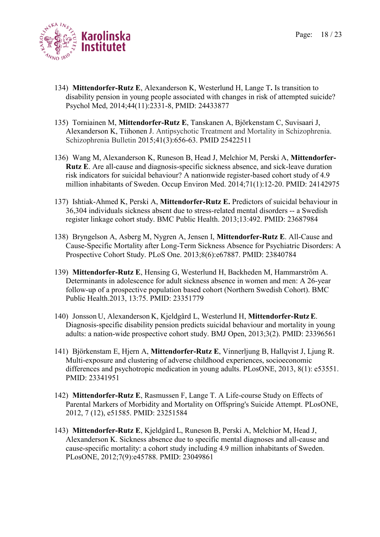Page: 18 / 23



- 134) **Mittendorfer-Rutz E**, Alexanderson K, Westerlund H, Lange T**.** Is transition to disability pension in young people associated with changes in risk of attempted suicide? Psychol Med, 2014;44(11):2331-8, PMID: 24433877
- 135) Torniainen M, **Mittendorfer-Rutz E**, Tanskanen A, Björkenstam C, Suvisaari J, Alexanderson K, Tiihonen J. Antipsychotic Treatment and Mortality in Schizophrenia. Schizophrenia Bulletin 2015;41(3):656-63. PMID 25422511
- 136) Wang M, Alexanderson K, Runeson B, Head J, Melchior M, Perski A, **Mittendorfer-Rutz E**. Are all-cause and diagnosis-specific sickness absence, and sick-leave duration risk indicators for suicidal behaviour? A nationwide register-based cohort study of 4.9 million inhabitants of Sweden. Occup Environ Med. 2014;71(1):12-20. PMID: 24142975
- 137) Ishtiak-Ahmed K, Perski A, **Mittendorfer-Rutz E.** Predictors of suicidal behaviour in 36,304 individuals sickness absent due to stress-related mental disorders -- a Swedish register linkage cohort study. BMC Public Health. 2013;13:492. PMID: 23687984
- 138) Bryngelson A, Asberg M, Nygren A, Jensen I, **Mittendorfer-Rutz E**. All-Cause and Cause-Specific Mortality after Long-Term Sickness Absence for Psychiatric Disorders: A Prospective Cohort Study. PLoS One. 2013;8(6):e67887. PMID: 23840784
- 139) **Mittendorfer-Rutz E**, Hensing G, Westerlund H, Backheden M, Hammarström A. Determinants in adolescence for adult sickness absence in women and men: A 26-year follow-up of a prospective population based cohort (Northern Swedish Cohort). BMC Public Health.2013, 13:75. PMID: 23351779
- 140) Jonsson U, Alexanderson K, Kjeldgård L, Westerlund H, **Mittendorfer-Rutz E**. Diagnosis-specific disability pension predicts suicidal behaviour and mortality in young adults: a nation-wide prospective cohort study. BMJ Open, 2013;3(2). PMID: 23396561
- 141) Björkenstam E, Hjern A, **Mittendorfer-Rutz E**, Vinnerljung B, Hallqvist J, Ljung R. Multi-exposure and clustering of adverse childhood experiences, socioeconomic differences and psychotropic medication in young adults. PLosONE, 2013, 8(1): e53551. PMID: 23341951
- 142) **Mittendorfer-Rutz E**, Rasmussen F, Lange T. A Life-course Study on Effects of Parental Markers of Morbidity and Mortality on Offspring's Suicide Attempt. PLosONE, 2012, 7 (12), e51585. PMID: 23251584
- 143) **Mittendorfer-Rutz E**, Kjeldgård L, Runeson B, Perski A, Melchior M, Head J, Alexanderson K. Sickness absence due to specific mental diagnoses and all-cause and cause-specific mortality: a cohort study including 4.9 million inhabitants of Sweden. PLosONE, 2012;7(9):e45788. PMID: 23049861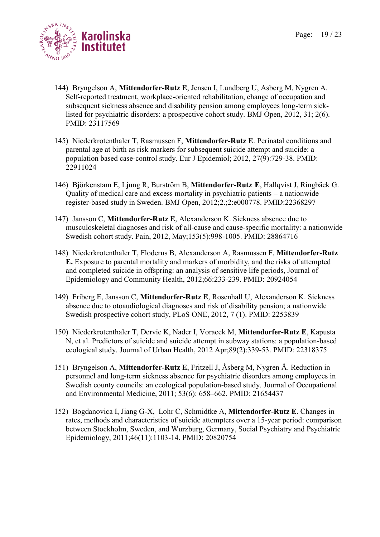

- 144) Bryngelson A, **Mittendorfer-Rutz E**, Jensen I, Lundberg U, Asberg M, Nygren A. Self-reported treatment, workplace-oriented rehabilitation, change of occupation and subsequent sickness absence and disability pension among employees long-term sicklisted for psychiatric disorders: a prospective cohort study. BMJ Open, 2012, 31; 2(6). PMID: 23117569
- 145) Niederkrotenthaler T, Rasmussen F, **Mittendorfer-Rutz E**. Perinatal conditions and parental age at birth as risk markers for subsequent suicide attempt and suicide: a population based case-control study. Eur J Epidemiol; 2012, 27(9):729-38. PMID: 22911024
- 146) Björkenstam E, Ljung R, Burström B, **Mittendorfer-Rutz E**, Hallqvist J, Ringbäck G. Quality of medical care and excess mortality in psychiatric patients – a nationwide register-based study in Sweden. BMJ Open, 2012;2.;2:e000778. PMID:22368297
- 147) Jansson C, **Mittendorfer-Rutz E**, Alexanderson K. Sickness absence due to musculoskeletal diagnoses and risk of all-cause and cause-specific mortality: a nationwide Swedish cohort study. Pain, 2012, May;153(5):998-1005. PMID: 28864716
- 148) Niederkrotenthaler T, Floderus B, Alexanderson A, Rasmussen F, **Mittendorfer-Rutz E.** Exposure to parental mortality and markers of morbidity, and the risks of attempted and completed suicide in offspring: an analysis of sensitive life periods, Journal of Epidemiology and Community Health, 2012;66:233-239. PMID: 20924054
- 149) Friberg E, Jansson C, **Mittendorfer-Rutz E**, Rosenhall U, Alexanderson K. Sickness absence due to otoaudiological diagnoses and risk of disability pension; a nationwide Swedish prospective cohort study, PLoS ONE, 2012, 7 (1). PMID: 2253839
- 150) Niederkrotenthaler T, Dervic K, Nader I, Voracek M, **Mittendorfer-Rutz E**, Kapusta N, et al. Predictors of suicide and suicide attempt in subway stations: a population-based ecological study. Journal of Urban Health, 2012 Apr;89(2):339-53. PMID: 22318375
- 151) Bryngelson A, **Mittendorfer-Rutz E**, Fritzell J, Åsberg M, Nygren Å. Reduction in personnel and long-term sickness absence for psychiatric disorders among employees in Swedish county councils: an ecological population-based study. Journal of Occupational and Environmental Medicine, 2011; 53(6): 658–662. PMID: 21654437
- 152) Bogdanovica I, Jiang G-X, Lohr C, Schmidtke A, **Mittendorfer-Rutz E**. Changes in rates, methods and characteristics of suicide attempters over a 15-year period: comparison between Stockholm, Sweden, and Wurzburg, Germany, Social Psychiatry and Psychiatric Epidemiology, 2011;46(11):1103-14. PMID: 20820754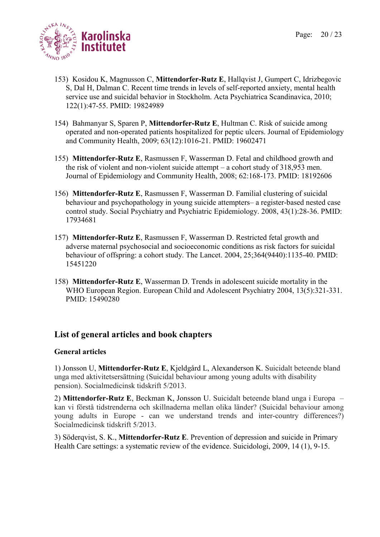

- 153) Kosidou K, Magnusson C, **Mittendorfer-Rutz E**, Hallqvist J, Gumpert C, Idrizbegovic S, Dal H, Dalman C. Recent time trends in levels of self-reported anxiety, mental health service use and suicidal behavior in Stockholm. Acta Psychiatrica Scandinavica, 2010; 122(1):47-55. PMID: 19824989
- 154) Bahmanyar S, Sparen P, **Mittendorfer-Rutz E**, Hultman C. Risk of suicide among operated and non-operated patients hospitalized for peptic ulcers. Journal of Epidemiology and Community Health, 2009; 63(12):1016-21. PMID: 19602471
- 155) **Mittendorfer-Rutz E**, Rasmussen F, Wasserman D. Fetal and childhood growth and the risk of violent and non-violent suicide attempt – a cohort study of 318,953 men. Journal of Epidemiology and Community Health, 2008; 62:168-173. PMID: 18192606
- 156) **Mittendorfer-Rutz E**, Rasmussen F, Wasserman D. Familial clustering of suicidal behaviour and psychopathology in young suicide attempters– a register-based nested case control study. Social Psychiatry and Psychiatric Epidemiology. 2008, 43(1):28-36. PMID: 17934681
- 157) **Mittendorfer-Rutz E**, Rasmussen F, Wasserman D. Restricted fetal growth and adverse maternal psychosocial and socioeconomic conditions as risk factors for suicidal behaviour of offspring: a cohort study. The Lancet. 2004, 25;364(9440):1135-40. PMID: 15451220
- 158) **Mittendorfer-Rutz E**, Wasserman D. Trends in adolescent suicide mortality in the WHO European Region. European Child and Adolescent Psychiatry 2004, 13(5):321-331. PMID: 15490280

# **List of general articles and book chapters**

### **General articles**

1) Jonsson U, **Mittendorfer-Rutz E**, Kjeldgård L, Alexanderson K. Suicidalt beteende bland unga med aktivitetsersättning (Suicidal behaviour among young adults with disability pension). Socialmedicinsk tidskrift 5/2013.

2) **Mittendorfer-Rutz E**, Beckman K, Jonsson U. Suicidalt beteende bland unga i Europa – kan vi förstå tidstrenderna och skillnaderna mellan olika länder? (Suicidal behaviour among young adults in Europe - can we understand trends and inter-country differences?) Socialmedicinsk tidskrift 5/2013.

3) Söderqvist, S. K., **Mittendorfer-Rutz E**. Prevention of depression and suicide in Primary Health Care settings: a systematic review of the evidence. Suicidologi, 2009, 14 (1), 9-15.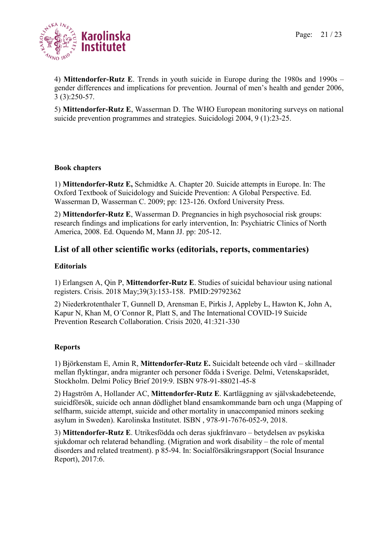

4) **Mittendorfer-Rutz E**. Trends in youth suicide in Europe during the 1980s and 1990s – gender differences and implications for prevention. Journal of men's health and gender 2006, 3 (3):250-57.

5) **Mittendorfer-Rutz E**, Wasserman D. The WHO European monitoring surveys on national suicide prevention programmes and strategies. Suicidologi 2004, 9 (1):23-25.

### **Book chapters**

1) **Mittendorfer-Rutz E,** Schmidtke A. Chapter 20. Suicide attempts in Europe. In: The Oxford Textbook of Suicidology and Suicide Prevention: A Global Perspective. Ed. Wasserman D, Wasserman C. 2009; pp: 123-126. Oxford University Press.

2) **Mittendorfer-Rutz E**, Wasserman D. Pregnancies in high psychosocial risk groups: research findings and implications for early intervention, In: Psychiatric Clinics of North America, 2008. Ed. Oquendo M, Mann JJ. pp: 205-12.

## **List of all other scientific works (editorials, reports, commentaries)**

### **Editorials**

1) Erlangsen A, Qin P, **Mittendorfer-Rutz E**. Studies of suicidal behaviour using national registers. Crisis. 2018 May;39(3):153-158. PMID:29792362

2) Niederkrotenthaler T, Gunnell D, Arensman E, Pirkis J, Appleby L, Hawton K, John A, Kapur N, Khan M, O´Connor R, Platt S, and The International COVID-19 Suicide Prevention Research Collaboration. Crisis 2020, 41:321-330

### **Reports**

1) Björkenstam E, Amin R, **Mittendorfer-Rutz E.** Suicidalt beteende och vård – skillnader mellan flyktingar, andra migranter och personer födda i Sverige. Delmi, Vetenskapsrådet, Stockholm. Delmi Policy Brief 2019:9. ISBN 978-91-88021-45-8

2) Hagström A, Hollander AC, **Mittendorfer-Rutz E**. Kartläggning av självskadebeteende, suicidförsök, suicide och annan dödlighet bland ensamkommande barn och unga (Mapping of selfharm, suicide attempt, suicide and other mortality in unaccompanied minors seeking asylum in Sweden). Karolinska Institutet. ISBN , 978-91-7676-052-9, 2018.

3) **Mittendorfer-Rutz E**. Utrikesfödda och deras sjukfrånvaro – betydelsen av psykiska sjukdomar och relaterad behandling. (Migration and work disability – the role of mental disorders and related treatment). p 85-94. In: Socialförsäkringsrapport (Social Insurance Report), 2017:6.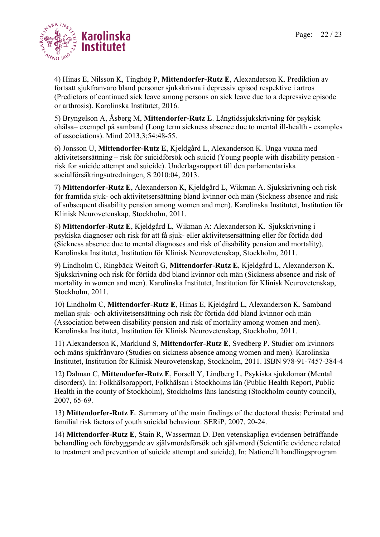

4) Hinas E, Nilsson K, Tinghög P, **Mittendorfer-Rutz E**, Alexanderson K. Prediktion av fortsatt sjukfrånvaro bland personer sjukskrivna i depressiv episod respektive i artros (Predictors of continued sick leave among persons on sick leave due to a depressive episode or arthrosis). Karolinska Institutet, 2016.

5) Bryngelson A, Åsberg M, **Mittendorfer-Rutz E**. Långtidssjukskrivning för psykisk ohälsa– exempel på samband (Long term sickness absence due to mental ill-health - examples of associations). Mind 2013,3;54:48-55.

6) Jonsson U, **Mittendorfer-Rutz E**, Kjeldgård L, Alexanderson K. Unga vuxna med aktivitetsersättning – risk för suicidförsök och suicid (Young people with disability pension risk for suicide attempt and suicide). Underlagsrapport till den parlamentariska socialförsäkringsutredningen, S 2010:04, 2013.

7) **Mittendorfer-Rutz E**, Alexanderson K, Kjeldgård L, Wikman A. Sjukskrivning och risk för framtida sjuk- och aktivitetsersättning bland kvinnor och män (Sickness absence and risk of subsequent disability pension among women and men). Karolinska Institutet, Institution för Klinisk Neurovetenskap, Stockholm, 2011.

8) **Mittendorfer-Rutz E**, Kjeldgård L, Wikman A: Alexanderson K. Sjukskrivning i psykiska diagnoser och risk för att få sjuk- eller aktivitetsersättning eller för förtida död (Sickness absence due to mental diagnoses and risk of disability pension and mortality). Karolinska Institutet, Institution för Klinisk Neurovetenskap, Stockholm, 2011.

9) Lindholm C, Ringbäck Weitoft G, **Mittendorfer-Rutz E**, Kjeldgård L, Alexanderson K. Sjukskrivning och risk för förtida död bland kvinnor och män (Sickness absence and risk of mortality in women and men). Karolinska Institutet, Institution för Klinisk Neurovetenskap, Stockholm, 2011.

10) Lindholm C, **Mittendorfer-Rutz E**, Hinas E, Kjeldgård L, Alexanderson K. Samband mellan sjuk- och aktivitetsersättning och risk för förtida död bland kvinnor och män (Association between disability pension and risk of mortality among women and men). Karolinska Institutet, Institution för Klinisk Neurovetenskap, Stockholm, 2011.

11) Alexanderson K, Marklund S, **Mittendorfer-Rutz E**, Svedberg P. Studier om kvinnors och mäns sjukfrånvaro (Studies on sickness absence among women and men). Karolinska Institutet, Institution för Klinisk Neurovetenskap, Stockholm, 2011. ISBN 978-91-7457-384-4

12) Dalman C, **Mittendorfer-Rutz E**, Forsell Y, Lindberg L. Psykiska sjukdomar (Mental disorders). In: Folkhälsorapport, Folkhälsan i Stockholms län (Public Health Report, Public Health in the county of Stockholm), Stockholms läns landsting (Stockholm county council), 2007, 65-69.

13) **Mittendorfer-Rutz E**. Summary of the main findings of the doctoral thesis: Perinatal and familial risk factors of youth suicidal behaviour. SERiP, 2007, 20-24.

14) **Mittendorfer-Rutz E**, Stain R, Wasserman D. Den vetenskapliga evidensen beträffande behandling och förebyggande av självmordsförsök och självmord (Scientific evidence related to treatment and prevention of suicide attempt and suicide), In: Nationellt handlingsprogram